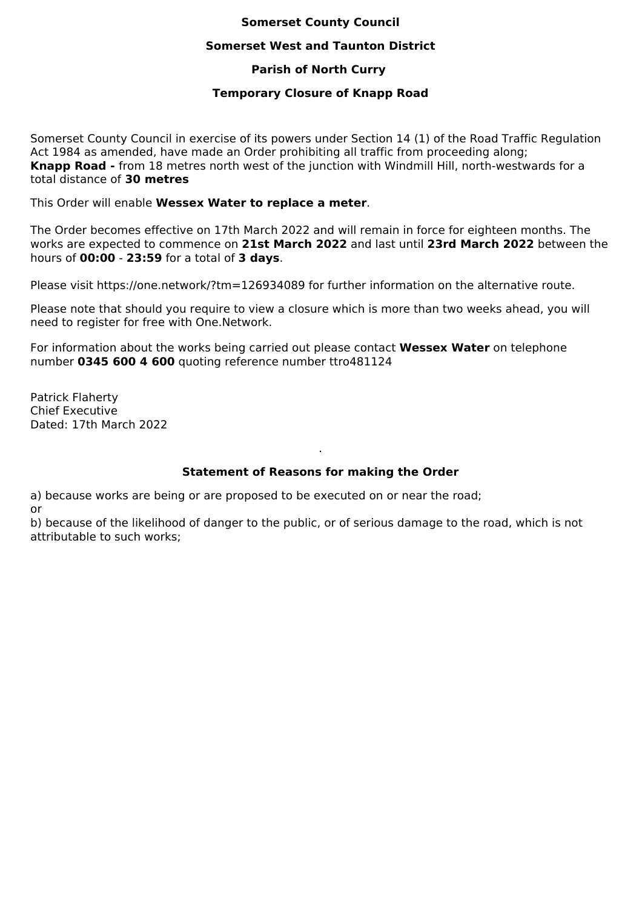# **Somerset County Council**

### **Somerset West and Taunton District**

# **Parish of North Curry**

## **Temporary Closure of Knapp Road**

Somerset County Council in exercise of its powers under Section 14 (1) of the Road Traffic Regulation Act 1984 as amended, have made an Order prohibiting all traffic from proceeding along; **Knapp Road -** from 18 metres north west of the junction with Windmill Hill, north-westwards for a total distance of **30 metres**

This Order will enable **Wessex Water to replace a meter**.

The Order becomes effective on 17th March 2022 and will remain in force for eighteen months. The works are expected to commence on **21st March 2022** and last until **23rd March 2022** between the hours of **00:00** - **23:59** for a total of **3 days**.

Please visit https://one.network/?tm=126934089 for further information on the alternative route.

Please note that should you require to view a closure which is more than two weeks ahead, you will need to register for free with One.Network.

For information about the works being carried out please contact **Wessex Water** on telephone number **0345 600 4 600** quoting reference number ttro481124

Patrick Flaherty Chief Executive Dated: 17th March 2022

# **Statement of Reasons for making the Order**

.

a) because works are being or are proposed to be executed on or near the road; or

b) because of the likelihood of danger to the public, or of serious damage to the road, which is not attributable to such works;